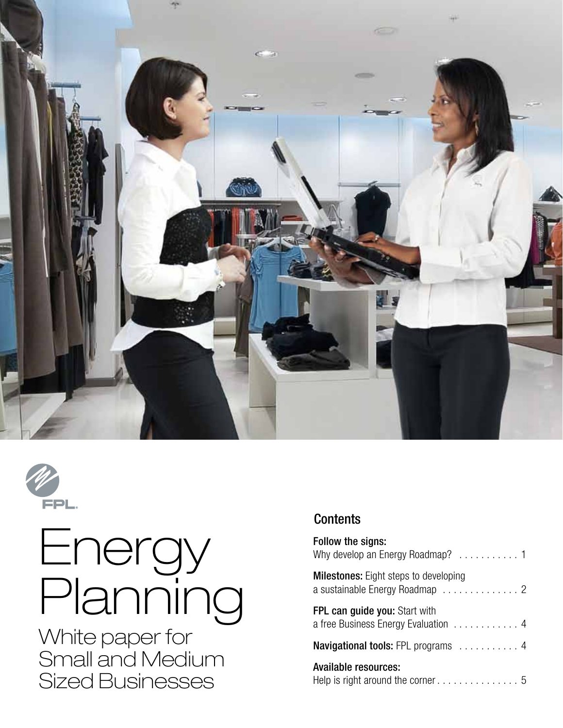



# Energy Planning

White paper for Small and Medium Sized Businesses

### **Contents**

| Follow the signs:                            |
|----------------------------------------------|
| <b>Milestones:</b> Eight steps to developing |
| <b>FPL can guide you: Start with</b>         |
| <b>Navigational tools:</b> FPL programs 4    |
| Available resources:                         |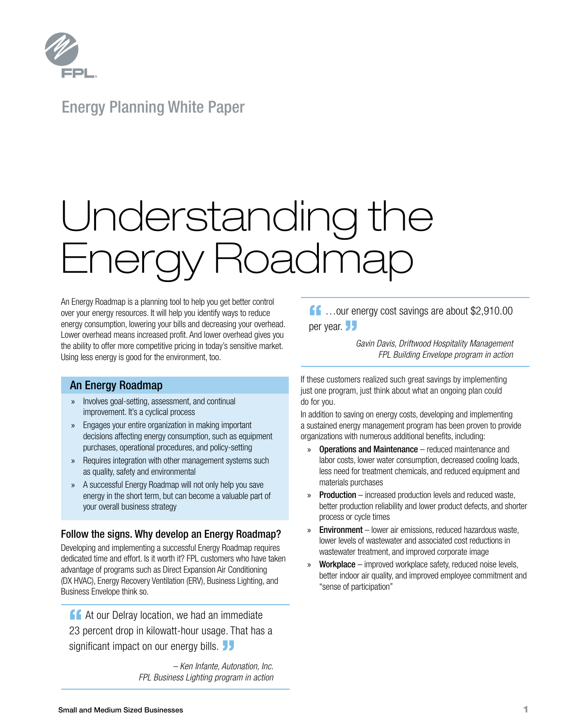

### Energy Planning White Paper

# Understanding the Energy Roadmap

An Energy Roadmap is a planning tool to help you get better control over your energy resources. It will help you identify ways to reduce energy consumption, lowering your bills and decreasing your overhead. Lower overhead means increased profit. And lower overhead gives you the ability to offer more competitive pricing in today's sensitive market. Using less energy is good for the environment, too.

#### An Energy Roadmap

- » Involves goal-setting, assessment, and continual improvement. It's a cyclical process
- » Engages your entire organization in making important decisions affecting energy consumption, such as equipment purchases, operational procedures, and policy-setting
- » Requires integration with other management systems such as quality, safety and environmental
- » A successful Energy Roadmap will not only help you save energy in the short term, but can become a valuable part of your overall business strategy

#### Follow the signs. Why develop an Energy Roadmap?

Developing and implementing a successful Energy Roadmap requires dedicated time and effort. Is it worth it? FPL customers who have taken advantage of programs such as Direct Expansion Air Conditioning (DX HVAC), Energy Recovery Ventilation (ERV), Business Lighting, and Business Envelope think so.

**14 At our Delray location, we had an immediate** 23 percent drop in kilowatt-hour usage. That has a significant impact on our energy bills.

*– Ken Infante, Autonation, Inc. FPL Business Lighting program in action*  $\bigcap$  ... our energy cost savings are about \$2,910.00 per year. JJ

 *Gavin Davis, Driftwood Hospitality Management FPL Building Envelope program in action*

If these customers realized such great savings by implementing just one program, just think about what an ongoing plan could do for you.

In addition to saving on energy costs, developing and implementing a sustained energy management program has been proven to provide organizations with numerous additional benefits, including:

- » Operations and Maintenance reduced maintenance and labor costs, lower water consumption, decreased cooling loads, less need for treatment chemicals, and reduced equipment and materials purchases
- » Production increased production levels and reduced waste, better production reliability and lower product defects, and shorter process or cycle times
- » Environment lower air emissions, reduced hazardous waste, lower levels of wastewater and associated cost reductions in wastewater treatment, and improved corporate image
- » Workplace improved workplace safety, reduced noise levels, better indoor air quality, and improved employee commitment and "sense of participation"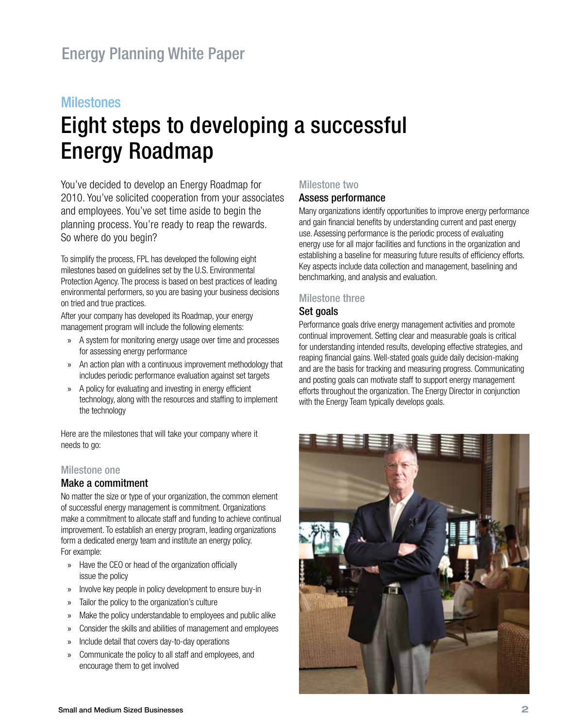#### **Milestones**

# Eight steps to developing a successful Energy Roadmap

You've decided to develop an Energy Roadmap for 2010. You've solicited cooperation from your associates and employees. You've set time aside to begin the planning process. You're ready to reap the rewards. So where do you begin?

To simplify the process, FPL has developed the following eight milestones based on guidelines set by the U.S. Environmental Protection Agency. The process is based on best practices of leading environmental performers, so you are basing your business decisions on tried and true practices.

After your company has developed its Roadmap, your energy management program will include the following elements:

- » A system for monitoring energy usage over time and processes for assessing energy performance
- » An action plan with a continuous improvement methodology that includes periodic performance evaluation against set targets
- » A policy for evaluating and investing in energy efficient technology, along with the resources and staffing to implement the technology

Here are the milestones that will take your company where it needs to go:

#### Milestone one

#### Make a commitment

No matter the size or type of your organization, the common element of successful energy management is commitment. Organizations make a commitment to allocate staff and funding to achieve continual improvement. To establish an energy program, leading organizations form a dedicated energy team and institute an energy policy. For example:

- » Have the CEO or head of the organization officially issue the policy
- » Involve key people in policy development to ensure buy-in
- » Tailor the policy to the organization's culture
- » Make the policy understandable to employees and public alike
- » Consider the skills and abilities of management and employees
- » Include detail that covers day-to-day operations
- » Communicate the policy to all staff and employees, and encourage them to get involved

#### Milestone two

#### Assess performance

Many organizations identify opportunities to improve energy performance and gain financial benefits by understanding current and past energy use. Assessing performance is the periodic process of evaluating energy use for all major facilities and functions in the organization and establishing a baseline for measuring future results of efficiency efforts. Key aspects include data collection and management, baselining and benchmarking, and analysis and evaluation.

#### Milestone three

#### Set goals

Performance goals drive energy management activities and promote continual improvement. Setting clear and measurable goals is critical for understanding intended results, developing effective strategies, and reaping financial gains. Well-stated goals guide daily decision-making and are the basis for tracking and measuring progress. Communicating and posting goals can motivate staff to support energy management efforts throughout the organization. The Energy Director in conjunction with the Energy Team typically develops goals.

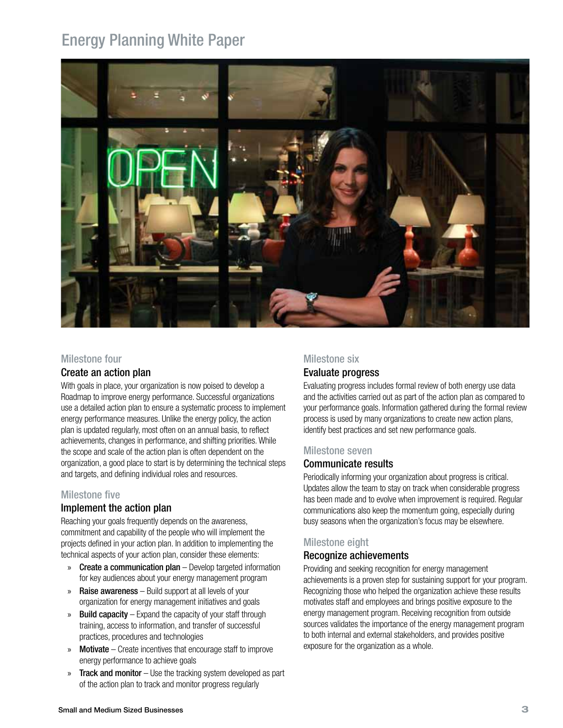## Energy Planning White Paper



#### Milestone four

#### Create an action plan

With goals in place, your organization is now poised to develop a Roadmap to improve energy performance. Successful organizations use a detailed action plan to ensure a systematic process to implement energy performance measures. Unlike the energy policy, the action plan is updated regularly, most often on an annual basis, to reflect achievements, changes in performance, and shifting priorities. While the scope and scale of the action plan is often dependent on the organization, a good place to start is by determining the technical steps and targets, and defining individual roles and resources.

#### Milestone five

#### Implement the action plan

Reaching your goals frequently depends on the awareness, commitment and capability of the people who will implement the projects defined in your action plan. In addition to implementing the technical aspects of your action plan, consider these elements:

- » Create a communication plan Develop targeted information for key audiences about your energy management program
- » Raise awareness Build support at all levels of your organization for energy management initiatives and goals
- » Build capacity Expand the capacity of your staff through training, access to information, and transfer of successful practices, procedures and technologies
- $\gg$  **Motivate** Create incentives that encourage staff to improve energy performance to achieve goals
- » Track and monitor Use the tracking system developed as part of the action plan to track and monitor progress regularly

#### Milestone six

#### Evaluate progress

Evaluating progress includes formal review of both energy use data and the activities carried out as part of the action plan as compared to your performance goals. Information gathered during the formal review process is used by many organizations to create new action plans, identify best practices and set new performance goals.

#### Milestone seven

#### Communicate results

Periodically informing your organization about progress is critical. Updates allow the team to stay on track when considerable progress has been made and to evolve when improvement is required. Regular communications also keep the momentum going, especially during busy seasons when the organization's focus may be elsewhere.

#### Milestone eight

#### Recognize achievements

Providing and seeking recognition for energy management achievements is a proven step for sustaining support for your program. Recognizing those who helped the organization achieve these results motivates staff and employees and brings positive exposure to the energy management program. Receiving recognition from outside sources validates the importance of the energy management program to both internal and external stakeholders, and provides positive exposure for the organization as a whole.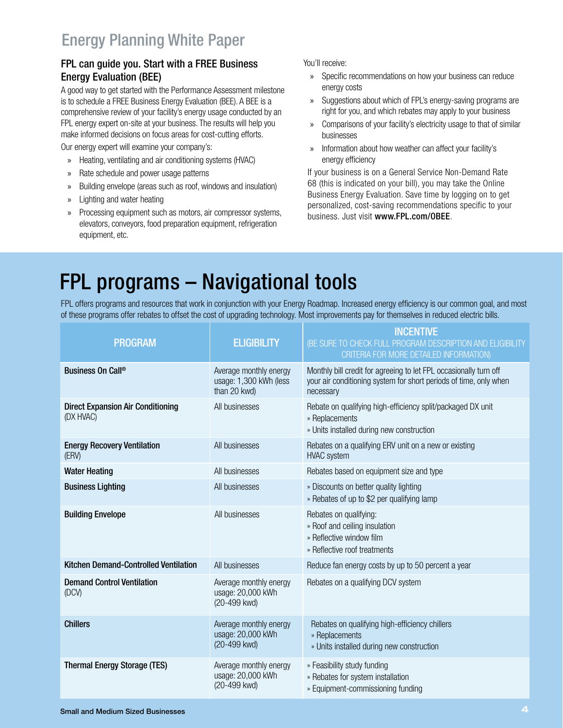#### FPL can guide you. Start with a FREE Business Energy Evaluation (BEE)

A good way to get started with the Performance Assessment milestone is to schedule a FREE Business Energy Evaluation (BEE). A BEE is a comprehensive review of your facility's energy usage conducted by an FPL energy expert on-site at your business. The results will help you make informed decisions on focus areas for cost-cutting efforts.

Our energy expert will examine your company's:

- » Heating, ventilating and air conditioning systems (HVAC)
- » Rate schedule and power usage patterns
- » Building envelope (areas such as roof, windows and insulation)
- » Lighting and water heating
- » Processing equipment such as motors, air compressor systems, elevators, conveyors, food preparation equipment, refrigeration equipment, etc.

You'll receive:

- » Specific recommendations on how your business can reduce energy costs
- » Suggestions about which of FPL's energy-saving programs are right for you, and which rebates may apply to your business
- » Comparisons of your facility's electricity usage to that of similar businesses
- » Information about how weather can affect your facility's energy efficiency

If your business is on a General Service Non-Demand Rate 68 (this is indicated on your bill), you may take the Online Business Energy Evaluation. Save time by logging on to get personalized, cost-saving recommendations specific to your business. Just visit www.FPL.com/OBEE.

## FPL programs – Navigational tools

FPL offers programs and resources that work in conjunction with your Energy Roadmap. Increased energy efficiency is our common goal, and most of these programs offer rebates to offset the cost of upgrading technology. Most improvements pay for themselves in reduced electric bills.

| <b>PROGRAM</b>                                        | <b>ELIGIBILITY</b>                                               | INCENTIVE<br>(BE SURE TO CHECK FULL PROGRAM DESCRIPTION AND ELIGIBILITY<br>CRITERIA FOR MORE DETAILED INFORMATION)                                  |
|-------------------------------------------------------|------------------------------------------------------------------|-----------------------------------------------------------------------------------------------------------------------------------------------------|
| Business On Call®                                     | Average monthly energy<br>usage: 1,300 kWh (less<br>than 20 kwd) | Monthly bill credit for agreeing to let FPL occasionally turn off<br>your air conditioning system for short periods of time, only when<br>necessary |
| <b>Direct Expansion Air Conditioning</b><br>(DX HVAC) | All businesses                                                   | Rebate on qualifying high-efficiency split/packaged DX unit<br>» Replacements<br>» Units installed during new construction                          |
| <b>Energy Recovery Ventilation</b><br>(ERV)           | All businesses                                                   | Rebates on a qualifying ERV unit on a new or existing<br><b>HVAC</b> system                                                                         |
| <b>Water Heating</b>                                  | All businesses                                                   | Rebates based on equipment size and type                                                                                                            |
| <b>Business Lighting</b>                              | All businesses                                                   | » Discounts on better quality lighting<br>» Rebates of up to \$2 per qualifying lamp                                                                |
| <b>Building Envelope</b>                              | All businesses                                                   | Rebates on qualifying:<br>» Roof and ceiling insulation<br>» Reflective window film<br>» Reflective roof treatments                                 |
| Kitchen Demand-Controlled Ventilation                 | All businesses                                                   | Reduce fan energy costs by up to 50 percent a year                                                                                                  |
| <b>Demand Control Ventilation</b><br>(DCV)            | Average monthly energy<br>usage: 20,000 kWh<br>(20-499 kwd)      | Rebates on a qualifying DCV system                                                                                                                  |
| <b>Chillers</b>                                       | Average monthly energy<br>usage: 20,000 kWh<br>(20-499 kwd)      | Rebates on qualifying high-efficiency chillers<br>» Replacements<br>» Units installed during new construction                                       |
| <b>Thermal Energy Storage (TES)</b>                   | Average monthly energy<br>usage: 20,000 kWh<br>(20-499 kwd)      | » Feasibility study funding<br>» Rebates for system installation<br>» Equipment-commissioning funding                                               |